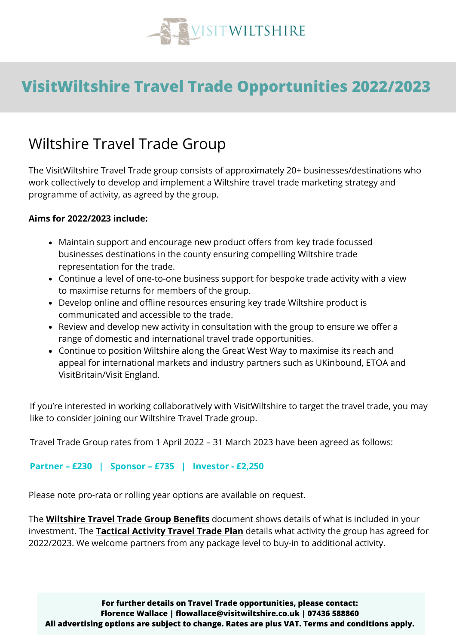

## **VisitWiltshire Travel Trade Opportunities 2022/2023**

### Wiltshire Travel Trade Group

The VisitWiltshire Travel Trade group consists of approximately 20+ businesses/destinations who work collectively to develop and implement a Wiltshire travel trade marketing strategy and programme of activity, as agreed by the group.

#### **Aims for 2022/2023 include:**

- Maintain support and encourage new product offers from key trade focussed businesses destinations in the county ensuring compelling Wiltshire trade representation for the trade.
- Continue a level of one-to-one business support for bespoke trade activity with a view to maximise returns for members of the group.
- Develop online and offline resources ensuring key trade Wiltshire product is communicated and accessible to the trade.
- Review and develop new activity in consultation with the group to ensure we offer a range of domestic and international travel trade opportunities.
- Continue to position Wiltshire along the Great West Way to maximise its reach and appeal for international markets and industry partners such as UKinbound, ETOA and VisitBritain/Visit England.

If you're interested in working collaboratively with VisitWiltshire to target the travel trade, you may like to consider joining our Wiltshire Travel Trade group.

Travel Trade Group rates from 1 April 2022 – 31 March 2023 have been agreed as follows:

#### **Partner – £230 | Sponsor – £735 | Investor - £2,250**

Please note pro-rata or rolling year options are available on request.

The **[Wiltshire](https://drive.google.com/file/d/1agPfX5zxqWS6RPdGAFGgS3uDMkhqI9Fs/view?usp=sharing) Travel Trade Group Benefits** document shows details of what is included in your investment. The **[Tactical](https://docs.google.com/spreadsheets/d/1Pakpt4wS7ZRhIRKuxg04MITlOfkToFn_/edit?usp=sharing&ouid=118357557873933478586&rtpof=true&sd=true) Activity Travel Trade Plan** details what activity the group has agreed for 2022/2023. We welcome partners from any package level to buy-in to additional activity.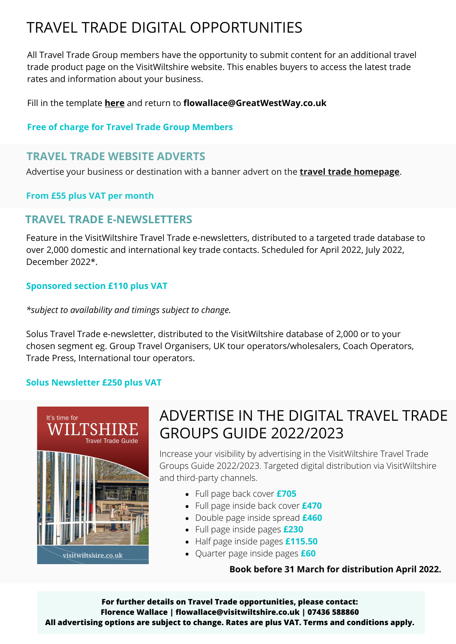## TRAVEL TRADE DIGITAL OPPORTUNITIES

All Travel Trade Group members have the opportunity to submit content for an additional travel trade product page on the VisitWiltshire website. This enables buyers to access the latest trade rates and information about your business.

Fill in the template **[here](https://docs.google.com/document/d/1awZuFiL4ZMleOnbgaOuc4AktkYj1VxQh/edit?usp=sharing&ouid=118357557873933478586&rtpof=true&sd=true)** and return to **[flowallace@GreatWestWay.co.uk](mailto:flowallace@GreatWestWay.co.uk)**

#### **Free of charge for Travel Trade Group Members**

### **TRAVEL TRADE WEBSITE ADVERTS**

Advertise your business or destination with a banner advert on the **travel trade [homepage](https://www.visitwiltshire.co.uk/plan-your-visit/group-travel)**.

#### **From £55 plus VAT per month**

### **TRAVEL TRADE E-NEWSLETTERS**

Feature in the VisitWiltshire Travel Trade e-newsletters, distributed to a targeted trade database to over 2,000 domestic and international key trade contacts. Scheduled for April 2022, July 2022, December 2022\*.

#### **Sponsored section £110 plus VAT**

*\*subject to availability and timings subject to change.*

Solus Travel Trade e-newsletter, distributed to the VisitWiltshire database of 2,000 or to your chosen segment eg. Group Travel Organisers, UK tour operators/wholesalers, Coach Operators, Trade Press, International tour operators.

#### **Solus Newsletter £250 plus VAT**



### ADVERTISE IN THE DIGITAL TRAVEL TRADE GROUPS GUIDE 2022/2023

Increase your visibility by advertising in the VisitWiltshire Travel Trade Groups Guide 2022/2023. Targeted digital distribution via VisitWiltshire and third-party channels.

- Full page back cover **£705**
- Full page inside back cover **£470**
- Double page inside spread **£460**
- Full page inside pages **£230**
- Half page inside pages **£115.50**
- Quarter page inside pages **£60**

**Book before 31 March for distribution April 2022.**

**For further details on Travel Trade opportunities, please contact: Florence Wallace | flowallace@visitwiltshire.co.uk | 07436 588860 All advertising options are subject to change. Rates are plus VAT. Terms and conditions apply.**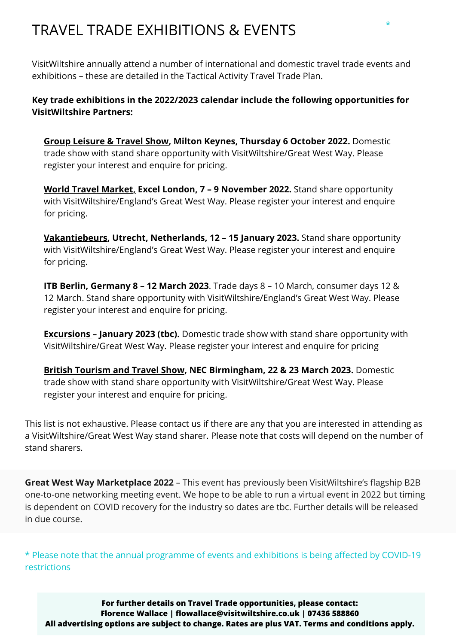## TRAVEL TRADE EXHIBITIONS & EVENTS

VisitWiltshire annually attend a number of international and domestic travel trade events and exhibitions – these are detailed in the [Tactical](https://docs.google.com/spreadsheets/d/1Pakpt4wS7ZRhIRKuxg04MITlOfkToFn_/edit?usp=sharing&ouid=118357557873933478586&rtpof=true&sd=true) Activity Travel Trade Plan.

**Key trade exhibitions in the 2022/2023 calendar include the following opportunities for VisitWiltshire Partners:**

**Group [Leisure](https://grouptravelshow.com/) & Travel Show, Milton Keynes, Thursday 6 October 2022.** Domestic trade show with stand share opportunity with VisitWiltshire/Great West Way. Please register your interest and enquire for pricing.

**World Travel [Market,](https://www.wtm.com/london/en-gb.html) Excel London, 7 – 9 November 2022.** Stand share opportunity with VisitWiltshire/England's Great West Way. Please register your interest and enquire for pricing.

**[Vakantiebeurs](https://www.vakantiebeurs.nl/), Utrecht, Netherlands, 12 – 15 January 2023.** Stand share opportunity with VisitWiltshire/England's Great West Way. Please register your interest and enquire for pricing.

**ITB [Berlin](https://www.itb-berlin.com/), Germany 8 – 12 March 2023**. Trade days 8 – 10 March, consumer days 12 & 12 March. Stand share opportunity with VisitWiltshire/England's Great West Way. Please register your interest and enquire for pricing.

**[Excursions](https://www.excursionsshow.com/) – January 2023 (tbc).** Domestic trade show with stand share opportunity with VisitWiltshire/Great West Way. Please register your interest and enquire for pricing

**British [Tourism](https://www.tourismshow.co.uk/) and Travel Show, NEC Birmingham, 22 & 23 March 2023.** Domestic trade show with stand share opportunity with VisitWiltshire/Great West Way. Please register your interest and enquire for pricing.

This list is not exhaustive. Please contact us if there are any that you are interested in attending as a VisitWiltshire/Great West Way stand sharer. Please note that costs will depend on the number of stand sharers.

**Great West Way Marketplace 2022** – This event has previously been VisitWiltshire's flagship B2B one-to-one networking meeting event. We hope to be able to run a virtual event in 2022 but timing is dependent on COVID recovery for the industry so dates are tbc. Further details will be released in due course.

\* Please note that the annual programme of events and exhibitions is being affected by COVID-19 restrictions

**For further details on Travel Trade opportunities, please contact: Florence Wallace | flowallace@visitwiltshire.co.uk | 07436 588860 All advertising options are subject to change. Rates are plus VAT. Terms and conditions apply.**